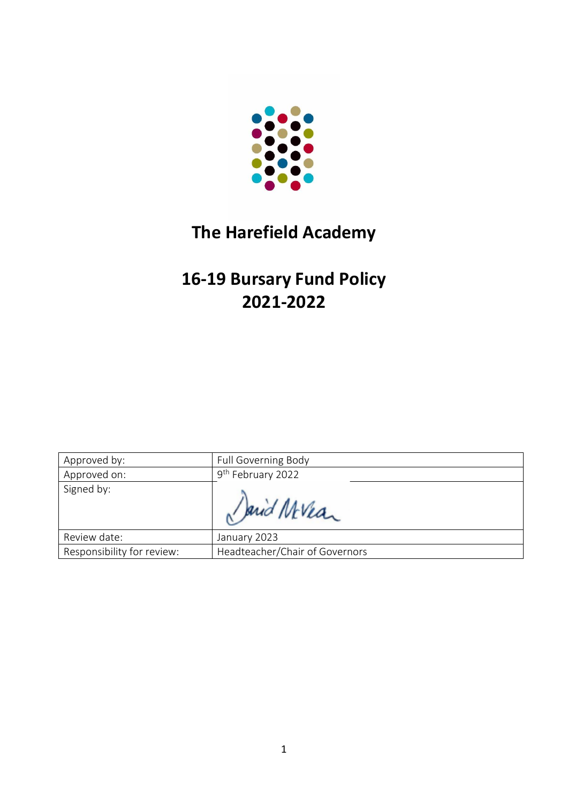

# **The Harefield Academy**

# **16-19 Bursary Fund Policy 2021-2022**

| Approved by:               | <b>Full Governing Body</b>     |
|----------------------------|--------------------------------|
| Approved on:               | 9 <sup>th</sup> February 2022  |
| Signed by:                 | Sarid Mevear                   |
| Review date:               | January 2023                   |
| Responsibility for review: | Headteacher/Chair of Governors |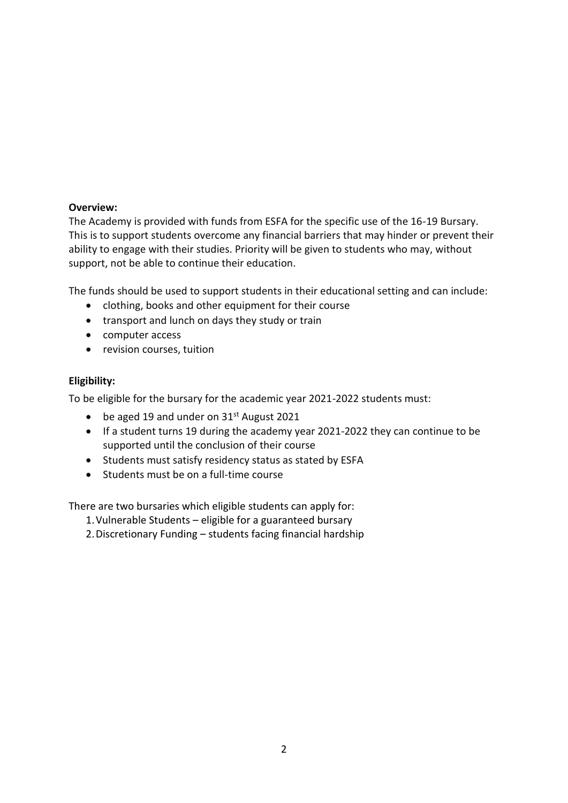# **Overview:**

The Academy is provided with funds from ESFA for the specific use of the 16-19 Bursary. This is to support students overcome any financial barriers that may hinder or prevent their ability to engage with their studies. Priority will be given to students who may, without support, not be able to continue their education.

The funds should be used to support students in their educational setting and can include:

- clothing, books and other equipment for their course
- transport and lunch on days they study or train
- computer access
- revision courses, tuition

# **Eligibility:**

To be eligible for the bursary for the academic year 2021-2022 students must:

- be aged 19 and under on  $31<sup>st</sup>$  August 2021
- If a student turns 19 during the academy year 2021-2022 they can continue to be supported until the conclusion of their course
- Students must satisfy residency status as stated by ESFA
- Students must be on a full-time course

There are two bursaries which eligible students can apply for:

1.Vulnerable Students – eligible for a guaranteed bursary

2.Discretionary Funding – students facing financial hardship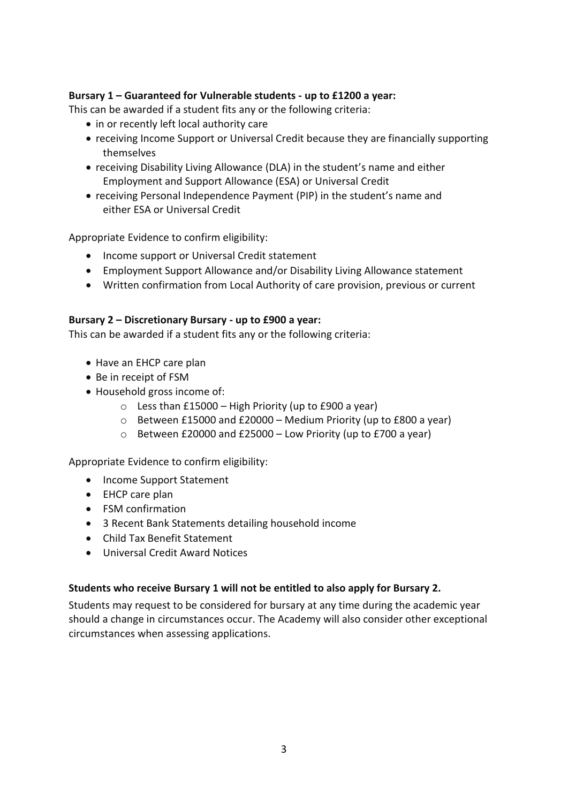# **Bursary 1 – Guaranteed for Vulnerable students - up to £1200 a year:**

This can be awarded if a student fits any or the following criteria:

- in or recently left local authority care
- receiving Income Support or Universal Credit because they are financially supporting themselves
- receiving Disability Living Allowance (DLA) in the student's name and either Employment and Support Allowance (ESA) or Universal Credit
- receiving Personal Independence Payment (PIP) in the student's name and either ESA or Universal Credit

Appropriate Evidence to confirm eligibility:

- Income support or Universal Credit statement
- Employment Support Allowance and/or Disability Living Allowance statement
- Written confirmation from Local Authority of care provision, previous or current

#### **Bursary 2 – Discretionary Bursary - up to £900 a year:**

This can be awarded if a student fits any or the following criteria:

- Have an EHCP care plan
- Be in receipt of FSM
- Household gross income of:
	- $\circ$  Less than £15000 High Priority (up to £900 a year)
	- $\circ$  Between £15000 and £20000 Medium Priority (up to £800 a year)
	- o Between £20000 and £25000 Low Priority (up to £700 a year)

Appropriate Evidence to confirm eligibility:

- Income Support Statement
- EHCP care plan
- FSM confirmation
- 3 Recent Bank Statements detailing household income
- Child Tax Benefit Statement
- Universal Credit Award Notices

#### **Students who receive Bursary 1 will not be entitled to also apply for Bursary 2.**

Students may request to be considered for bursary at any time during the academic year should a change in circumstances occur. The Academy will also consider other exceptional circumstances when assessing applications.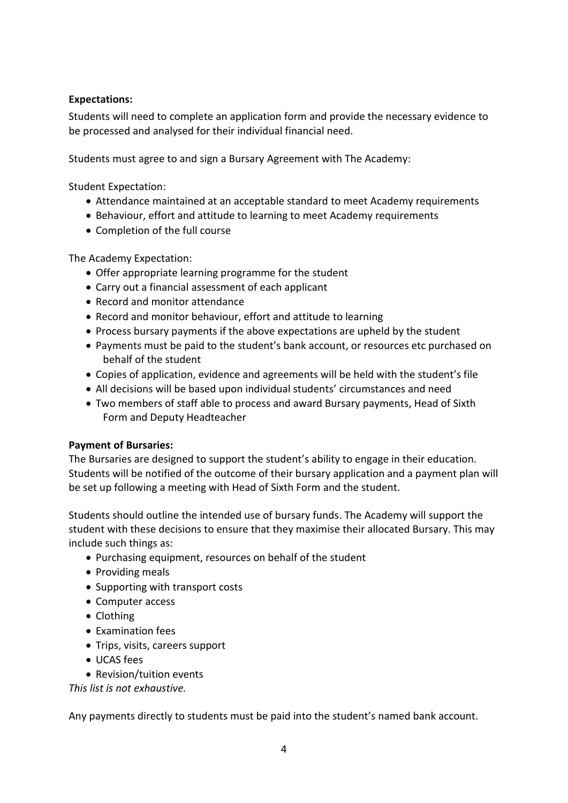# **Expectations:**

Students will need to complete an application form and provide the necessary evidence to be processed and analysed for their individual financial need.

Students must agree to and sign a Bursary Agreement with The Academy:

Student Expectation:

- Attendance maintained at an acceptable standard to meet Academy requirements
- Behaviour, effort and attitude to learning to meet Academy requirements
- Completion of the full course

The Academy Expectation:

- Offer appropriate learning programme for the student
- Carry out a financial assessment of each applicant
- Record and monitor attendance
- Record and monitor behaviour, effort and attitude to learning
- Process bursary payments if the above expectations are upheld by the student
- Payments must be paid to the student's bank account, or resources etc purchased on behalf of the student
- Copies of application, evidence and agreements will be held with the student's file
- All decisions will be based upon individual students' circumstances and need
- Two members of staff able to process and award Bursary payments, Head of Sixth Form and Deputy Headteacher

#### **Payment of Bursaries:**

The Bursaries are designed to support the student's ability to engage in their education. Students will be notified of the outcome of their bursary application and a payment plan will be set up following a meeting with Head of Sixth Form and the student.

Students should outline the intended use of bursary funds. The Academy will support the student with these decisions to ensure that they maximise their allocated Bursary. This may include such things as:

- Purchasing equipment, resources on behalf of the student
- Providing meals
- Supporting with transport costs
- Computer access
- Clothing
- Examination fees
- Trips, visits, careers support
- UCAS fees
- Revision/tuition events

*This list is not exhaustive.*

Any payments directly to students must be paid into the student's named bank account.